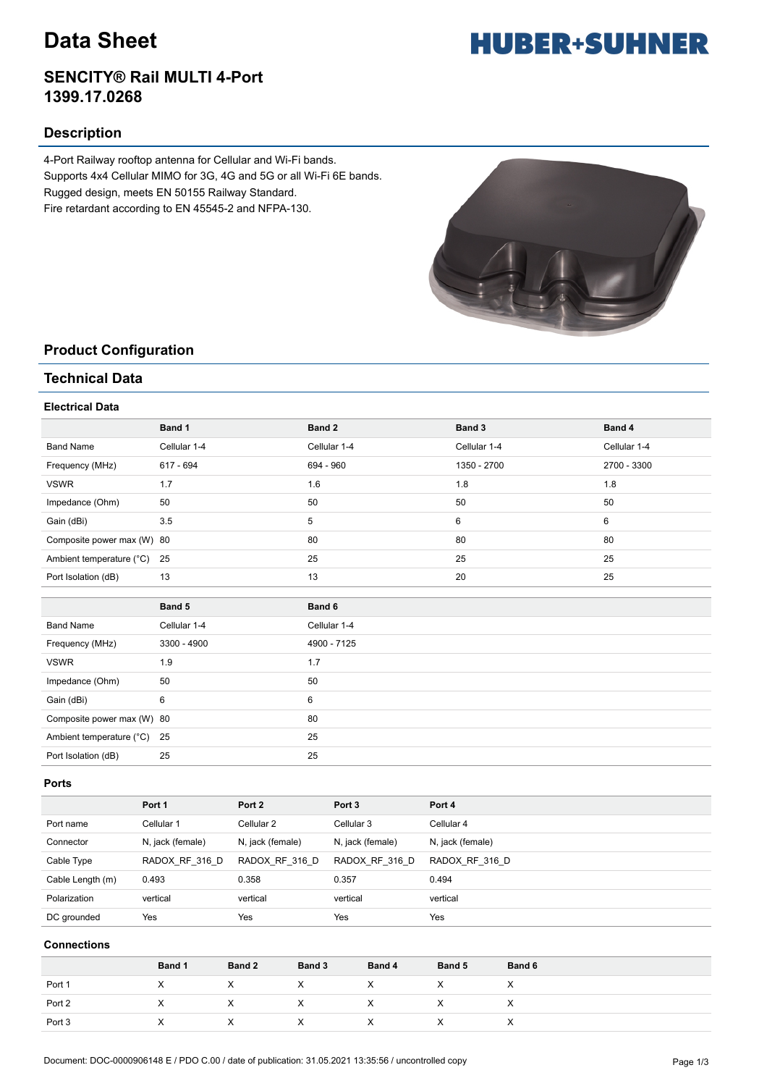## **Data Sheet**

### **SENCITY® Rail MULTI 4-Port 1399.17.0268**

### **Description**

4-Port Railway rooftop antenna for Cellular and Wi-Fi bands. Supports 4x4 Cellular MIMO for 3G, 4G and 5G or all Wi-Fi 6E bands. Rugged design, meets EN 50155 Railway Standard. Fire retardant according to EN 45545-2 and NFPA-130.



## **Product Configuration**

### **Technical Data**

#### **Electrical Data**

|                             | Band 1          | Band 2          | Band 3       | Band 4       |
|-----------------------------|-----------------|-----------------|--------------|--------------|
| <b>Band Name</b>            | Cellular 1-4    | Cellular 1-4    | Cellular 1-4 | Cellular 1-4 |
| Frequency (MHz)             | 617 - 694       | 694 - 960       | 1350 - 2700  | 2700 - 3300  |
| <b>VSWR</b>                 | 1.7             | 1.6             | 1.8          | 1.8          |
| Impedance (Ohm)             | 50              | 50              | 50           | 50           |
| Gain (dBi)                  | 3.5             | 5               | 6            | 6            |
| Composite power max (W) 80  |                 | 80              | 80           | 80           |
| Ambient temperature (°C) 25 |                 | 25              | 25           | 25           |
| Port Isolation (dB)         | 13              | 13              | 20           | 25           |
|                             |                 |                 |              |              |
|                             | Band 5          | Band 6          |              |              |
| <b>Rand Name</b>            | $C$ ellular 1-4 | $C$ ellular 1-4 |              |              |

| <b>Band Name</b>            | Cellular 1-4 | Cellular 1-4 |
|-----------------------------|--------------|--------------|
| Frequency (MHz)             | 3300 - 4900  | 4900 - 7125  |
| <b>VSWR</b>                 | 1.9          | 1.7          |
| Impedance (Ohm)             | 50           | 50           |
| Gain (dBi)                  | 6            | 6            |
| Composite power max (W) 80  |              | 80           |
| Ambient temperature (°C) 25 |              | 25           |
| Port Isolation (dB)         | 25           | 25           |
|                             |              |              |

#### **Ports**

|                  | Port 1           | Port 2           | Port <sub>3</sub> | Port 4           |
|------------------|------------------|------------------|-------------------|------------------|
| Port name        | Cellular 1       | Cellular 2       | Cellular 3        | Cellular 4       |
| Connector        | N, jack (female) | N, jack (female) | N, jack (female)  | N, jack (female) |
| Cable Type       | RADOX RF 316 D   | RADOX RF 316 D   | RADOX RF 316 D    | RADOX RF 316 D   |
| Cable Length (m) | 0.493            | 0.358            | 0.357             | 0.494            |
| Polarization     | vertical         | vertical         | vertical          | vertical         |
| DC grounded      | Yes              | Yes              | Yes               | Yes              |

#### **Connections**

|        | Band 1 | Band 2 | Band 3    | Band 4 | Band 5 | Band 6    |
|--------|--------|--------|-----------|--------|--------|-----------|
| Port 1 |        |        | $\lambda$ | ⋏      | ᄉ      | $\lambda$ |
| Port 2 |        |        |           |        |        |           |
| Port 3 |        |        |           | ⋏      |        |           |

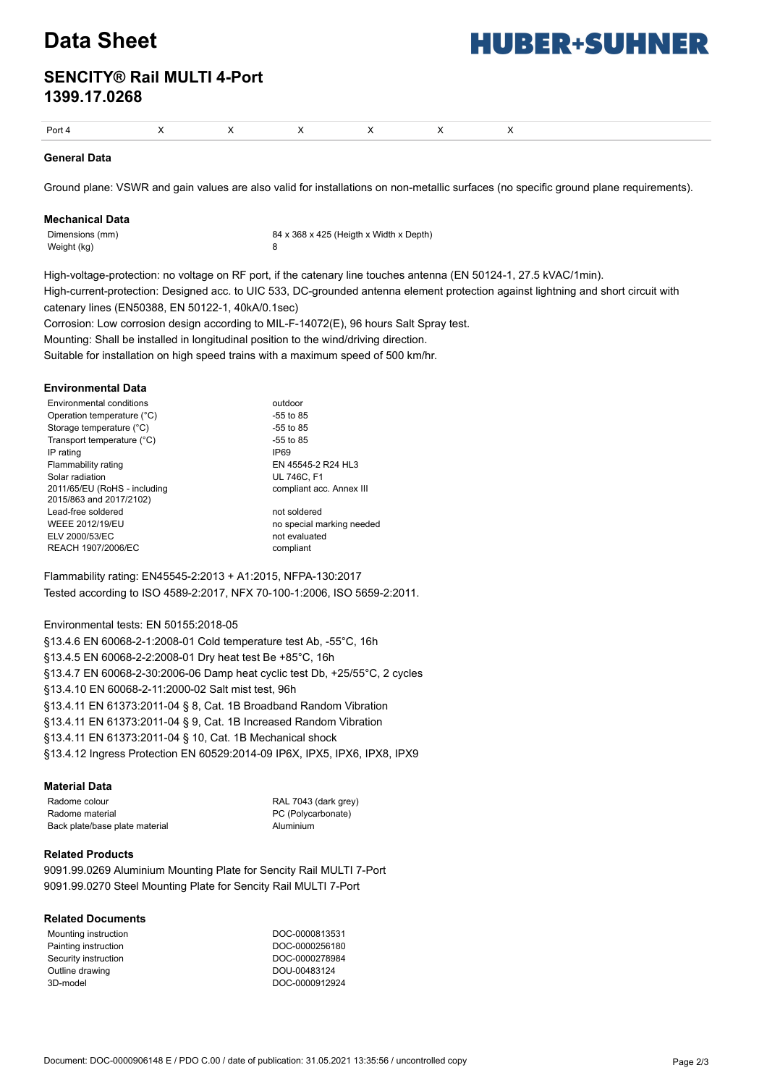## **Data Sheet**

# **HUBER+SUHNER**

## **SENCITY® Rail MULTI 4-Port 1399.17.0268**

|--|

#### **General Data**

Ground plane: VSWR and gain values are also valid for installations on non-metallic surfaces (no specific ground plane requirements).

#### **Mechanical Data**

Weight (kg) 8

Dimensions (mm) 84 x 368 x 425 (Heigth x Width x Depth)

High-voltage-protection: no voltage on RF port, if the catenary line touches antenna (EN 50124-1, 27.5 kVAC/1min). High-current-protection: Designed acc. to UIC 533, DC-grounded antenna element protection against lightning and short circuit with catenary lines (EN50388, EN 50122-1, 40kA/0.1sec)

Corrosion: Low corrosion design according to MIL-F-14072(E), 96 hours Salt Spray test.

Mounting: Shall be installed in longitudinal position to the wind/driving direction.

Suitable for installation on high speed trains with a maximum speed of 500 km/hr.

#### **Environmental Data**

| outdoor                   |
|---------------------------|
| $-55$ to 85               |
| $-55$ to 85               |
| $-55$ to 85               |
| <b>IP69</b>               |
| EN 45545-2 R24 HL3        |
| <b>UL 746C, F1</b>        |
| compliant acc. Annex III  |
| not soldered              |
| no special marking needed |
| not evaluated             |
| compliant                 |
|                           |

Flammability rating: EN45545-2:2013 + A1:2015, NFPA-130:2017 Tested according to ISO 4589-2:2017, NFX 70-100-1:2006, ISO 5659-2:2011.

#### Environmental tests: EN 50155:2018-05

§13.4.6 EN 60068-2-1:2008-01 Cold temperature test Ab, -55°C, 16h §13.4.5 EN 60068-2-2:2008-01 Dry heat test Be +85°C, 16h §13.4.7 EN 60068-2-30:2006-06 Damp heat cyclic test Db, +25/55°C, 2 cycles §13.4.10 EN 60068-2-11:2000-02 Salt mist test, 96h §13.4.11 EN 61373:2011-04 § 8, Cat. 1B Broadband Random Vibration §13.4.11 EN 61373:2011-04 § 9, Cat. 1B Increased Random Vibration §13.4.11 EN 61373:2011-04 § 10, Cat. 1B Mechanical shock §13.4.12 Ingress Protection EN 60529:2014-09 IP6X, IPX5, IPX6, IPX8, IPX9

#### **Material Data**

Radome colour RAL 7043 (dark grey) Radome material example and the PC (Polycarbonate) Back plate/base plate material and a material Aluminium

#### **Related Products**

9091.99.0269 Aluminium Mounting Plate for Sencity Rail MULTI 7-Port 9091.99.0270 Steel Mounting Plate for Sencity Rail MULTI 7-Port

#### **Related Documents**

| Mounting instruction | DOC-0000813531 |
|----------------------|----------------|
| Painting instruction | DOC-0000256180 |
| Security instruction | DOC-0000278984 |
| Outline drawing      | DOU-00483124   |
| 3D-model             | DOC-0000912924 |